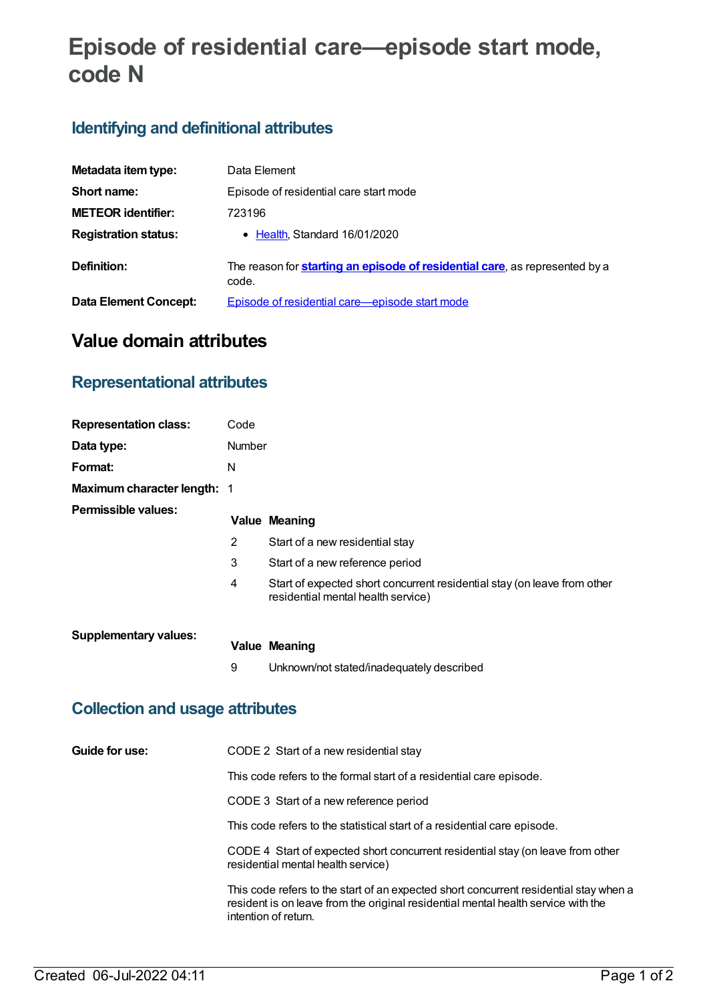# **Episode of residential care—episode start mode, code N**

# **Identifying and definitional attributes**

| Metadata item type:         | Data Element                                                                                 |
|-----------------------------|----------------------------------------------------------------------------------------------|
| Short name:                 | Episode of residential care start mode                                                       |
| <b>METEOR identifier:</b>   | 723196                                                                                       |
| <b>Registration status:</b> | • Health Standard 16/01/2020                                                                 |
| Definition:                 | The reason for <b>starting an episode of residential care</b> , as represented by a<br>code. |
| Data Element Concept:       | Episode of residential care—episode start mode                                               |

# **Value domain attributes**

#### **Representational attributes**

| <b>Representation class:</b>           | Code                                                                                                                                                                                                                                                                                                               |                                                                                                                                                                                                    |  |  |
|----------------------------------------|--------------------------------------------------------------------------------------------------------------------------------------------------------------------------------------------------------------------------------------------------------------------------------------------------------------------|----------------------------------------------------------------------------------------------------------------------------------------------------------------------------------------------------|--|--|
| Data type:                             | Number                                                                                                                                                                                                                                                                                                             |                                                                                                                                                                                                    |  |  |
| Format:                                | N                                                                                                                                                                                                                                                                                                                  |                                                                                                                                                                                                    |  |  |
| Maximum character length:              | $\mathbf 1$                                                                                                                                                                                                                                                                                                        |                                                                                                                                                                                                    |  |  |
| <b>Permissible values:</b>             |                                                                                                                                                                                                                                                                                                                    | <b>Value Meaning</b>                                                                                                                                                                               |  |  |
|                                        | $\overline{2}$                                                                                                                                                                                                                                                                                                     | Start of a new residential stay                                                                                                                                                                    |  |  |
|                                        | 3                                                                                                                                                                                                                                                                                                                  | Start of a new reference period                                                                                                                                                                    |  |  |
|                                        | 4                                                                                                                                                                                                                                                                                                                  | Start of expected short concurrent residential stay (on leave from other<br>residential mental health service)                                                                                     |  |  |
| <b>Supplementary values:</b>           |                                                                                                                                                                                                                                                                                                                    | <b>Value Meaning</b>                                                                                                                                                                               |  |  |
|                                        | 9                                                                                                                                                                                                                                                                                                                  | Unknown/not stated/inadequately described                                                                                                                                                          |  |  |
| <b>Collection and usage attributes</b> |                                                                                                                                                                                                                                                                                                                    |                                                                                                                                                                                                    |  |  |
| Guide for use:                         |                                                                                                                                                                                                                                                                                                                    | CODE 2 Start of a new residential stay                                                                                                                                                             |  |  |
|                                        | This code refers to the formal start of a residential care episode.<br>CODE 3 Start of a new reference period<br>This code refers to the statistical start of a residential care episode.<br>CODE 4 Start of expected short concurrent residential stay (on leave from other<br>residential mental health service) |                                                                                                                                                                                                    |  |  |
|                                        |                                                                                                                                                                                                                                                                                                                    |                                                                                                                                                                                                    |  |  |
|                                        |                                                                                                                                                                                                                                                                                                                    |                                                                                                                                                                                                    |  |  |
|                                        |                                                                                                                                                                                                                                                                                                                    |                                                                                                                                                                                                    |  |  |
|                                        |                                                                                                                                                                                                                                                                                                                    | This code refers to the start of an expected short concurrent residential stay when a<br>resident is on leave from the original residential mental health service with the<br>intention of return. |  |  |